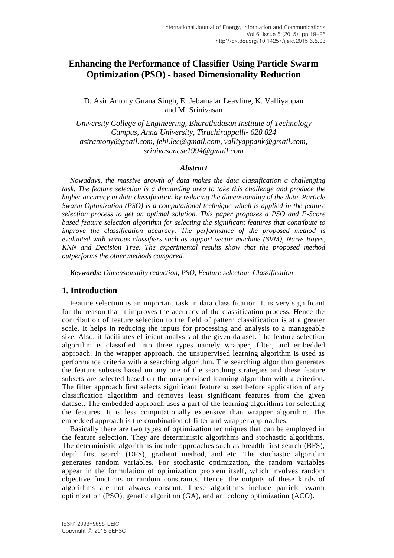# **Enhancing the Performance of Classifier Using Particle Swarm Optimization (PSO) - based Dimensionality Reduction**

D. Asir Antony Gnana Singh, E. Jebamalar Leavline, K. Valliyappan and M. Srinivasan

*University College of Engineering, Bharathidasan Institute of Technology Campus, Anna University, Tiruchirappalli- 620 024 asirantony@gnail.com, jebi.lee@gmail.com, valliyappank@gmail.com, srinivasancse1994@gmail.com*

#### *Abstract*

*Nowadays, the massive growth of data makes the data classification a challenging task. The feature selection is a demanding area to take this challenge and produce the higher accuracy in data classification by reducing the dimensionality of the data. Particle Swarm Optimization (PSO) is a computational technique which is applied in the feature selection process to get an optimal solution. This paper proposes a PSO and F-Score based feature selection algorithm for selecting the significant features that contribute to improve the classification accuracy. The performance of the proposed method is evaluated with various classifiers such as support vector machine (SVM), Naive Bayes, KNN and Decision Tree. The experimental results show that the proposed method outperforms the other methods compared.*

*Keywords: Dimensionality reduction, PSO, Feature selection, Classification*

#### **1. Introduction**

Feature selection is an important task in data classification. It is very significant for the reason that it improves the accuracy of the classification process. Hence the contribution of feature selection to the field of pattern classification is at a greater scale. It helps in reducing the inputs for processing and analysis to a manageable size. Also, it facilitates efficient analysis of the given dataset. The feature selection algorithm is classified into three types namely wrapper, filter, and embedded approach. In the wrapper approach, the unsupervised learning algorithm is used as performance criteria with a searching algorithm. The searching algorithm generates the feature subsets based on any one of the searching strategies and these feature subsets are selected based on the unsupervised learning algorithm with a criterion. The filter approach first selects significant feature subset before application of any classification algorithm and removes least significant features from the given dataset. The embedded approach uses a part of the learning algorithms for selecting the features. It is less computationally expensive than wrapper algorithm. The embedded approach is the combination of filter and wrapper approaches.

Basically there are two types of optimization techniques that can be employed in the feature selection. They are deterministic algorithms and stochastic algorithms. The deterministic algorithms include approaches such as breadth first search (BFS), depth first search (DFS), gradient method, and etc. The stochastic algorithm generates random variables. For stochastic optimization, the random variables appear in the formulation of optimization problem itself, which involves random objective functions or random constraints. Hence, the outputs of these kinds of algorithms are not always constant. These algorithms include particle swarm optimization (PSO), genetic algorithm (GA), and ant colony optimization (ACO).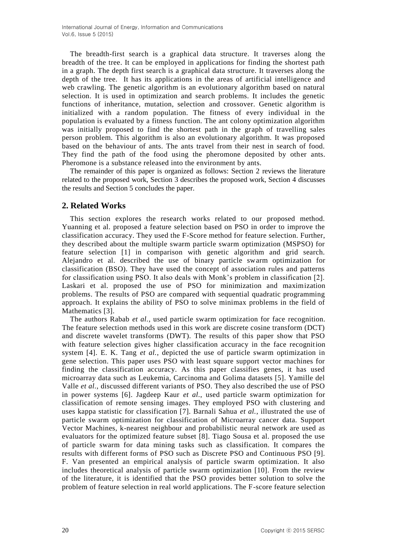The breadth-first search is a graphical data structure. It traverses along the breadth of the tree. It can be employed in applications for finding the shortest path in a graph. The depth first search is a graphical data structure. It traverses along the depth of the tree. It has its applications in the areas of artificial intelligence and web crawling. The genetic algorithm is an evolutionary algorithm based on natural selection. It is used in optimization and search problems. It includes the genetic functions of inheritance, mutation, selection and crossover. Genetic algorithm is initialized with a random population. The fitness of every individual in the population is evaluated by a fitness function. The ant colony optimization algorithm was initially proposed to find the shortest path in the graph of travelling sales person problem. This algorithm is also an evolutionary algorithm. It was proposed based on the behaviour of ants. The ants travel from their nest in search of food. They find the path of the food using the pheromone deposited by other ants. Pheromone is a substance released into the environment by ants.

The remainder of this paper is organized as follows: Section 2 reviews the literature related to the proposed work, Section 3 describes the proposed work, Section 4 discusses the results and Section 5 concludes the paper.

# **2. Related Works**

This section explores the research works related to our proposed method. Yuanning et al. proposed a feature selection based on PSO in order to improve the classification accuracy. They used the F-Score method for feature selection. Further, they described about the multiple swarm particle swarm optimization (MSPSO) for feature selection [1] in comparison with genetic algorithm and grid search. Alejandro et al. described the use of binary particle swarm optimization for classification (BSO). They have used the concept of association rules and patterns for classification using PSO. It also deals with Monk's problem in classification [2]. Laskari et al. proposed the use of PSO for minimization and maximization problems. The results of PSO are compared with sequential quadratic programming approach. It explains the ability of PSO to solve minimax problems in the field of Mathematics [3].

The authors Rabab *et al.*, used particle swarm optimization for face recognition. The feature selection methods used in this work are discrete cosine transform (DCT) and discrete wavelet transforms (DWT). The results of this paper show that PSO with feature selection gives higher classification accuracy in the face recognition system [4]. E. K. Tang *et al.*, depicted the use of particle swarm optimization in gene selection. This paper uses PSO with least square support vector machines for finding the classification accuracy. As this paper classifies genes, it has used microarray data such as Leukemia, Carcinoma and Golima datasets [5]. Yamille del Valle *et al.*, discussed different variants of PSO. They also described the use of PSO in power systems [6]. Jagdeep Kaur *et al.*, used particle swarm optimization for classification of remote sensing images. They employed PSO with clustering and uses kappa statistic for classification [7]. Barnali Sahua *et al.*, illustrated the use of particle swarm optimization for classification of Microarray cancer data. Support Vector Machines, k-nearest neighbour and probabilistic neural network are used as evaluators for the optimized feature subset [8]. Tiago Sousa et al. proposed the use of particle swarm for data mining tasks such as classification. It compares the results with different forms of PSO such as Discrete PSO and Continuous PSO [9]. F. Van presented an empirical analysis of particle swarm optimization. It also includes theoretical analysis of particle swarm optimization [10]. From the review of the literature, it is identified that the PSO provides better solution to solve the problem of feature selection in real world applications. The F-score feature selection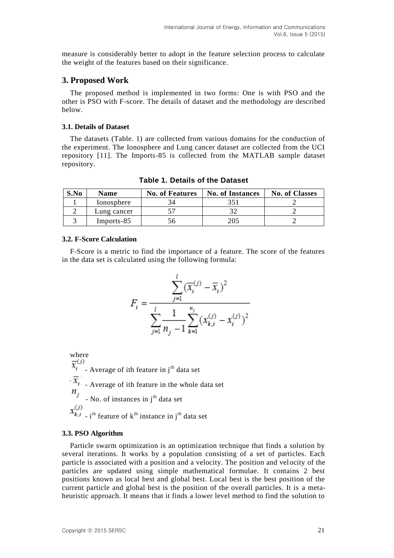measure is considerably better to adopt in the feature selection process to calculate the weight of the features based on their significance.

### **3. Proposed Work**

The proposed method is implemented in two forms: One is with PSO and the other is PSO with F-score. The details of dataset and the methodology are described below.

#### **3.1. Details of Dataset**

The datasets (Table. 1) are collected from various domains for the conduction of the experiment. The Ionosphere and Lung cancer dataset are collected from the UCI repository [11]. The Imports-85 is collected from the MATLAB sample dataset repository.

| S.No | <b>Name</b> | <b>No. of Features</b> | <b>No. of Instances</b> | <b>No. of Classes</b> |
|------|-------------|------------------------|-------------------------|-----------------------|
|      | Ionosphere  |                        | 35 i                    |                       |
|      | Lung cancer |                        |                         |                       |
|      | Imports-85  |                        | 205                     |                       |

**Table 1. Details of the Dataset**

#### **3.2. F-Score Calculation**

F-Score is a metric to find the importance of a feature. The score of the features in the data set is calculated using the following formula:

$$
F_i = \frac{\sum_{j=1}^{l} (\overline{x}_i^{(j)} - \overline{x}_i)^2}{\sum_{j=1}^{l} \frac{1}{n_j - 1} \sum_{k=1}^{n_j} (x_{k,i}^{(j)} - x_i^{(j)})^2}
$$

where  $\overline{x_i^{(j)}}$ <br>- Average of ith feature in j<sup>th</sup> data set  $-\overline{x_i}$ . Average of ith feature in the whole data set  $n_j$  - No. of instances in j<sup>th</sup> data set  $-i<sup>th</sup>$  feature of  $k<sup>th</sup>$  instance in j<sup>th</sup> data set

# **3.3. PSO Algorithm**

Particle swarm optimization is an optimization technique that finds a solution by several iterations. It works by a population consisting of a set of particles. Each particle is associated with a position and a velocity. The position and vel ocity of the particles are updated using simple mathematical formulae. It contains 2 best positions known as local best and global best. Local best is the best position of the current particle and global best is the position of the overall particles. It is a metaheuristic approach. It means that it finds a lower level method to find the solution to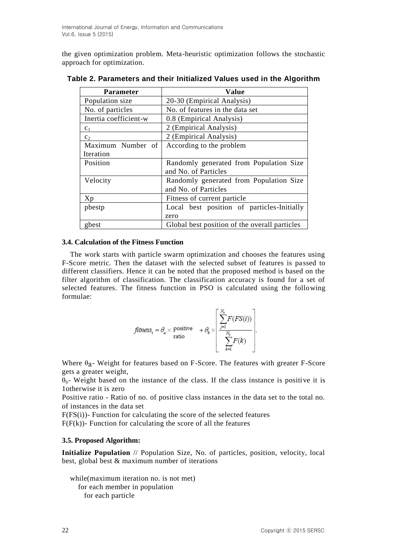the given optimization problem. Meta-heuristic optimization follows the stochastic approach for optimization.

| <b>Parameter</b>      | Value                                         |  |  |
|-----------------------|-----------------------------------------------|--|--|
| Population size       | 20-30 (Empirical Analysis)                    |  |  |
| No. of particles      | No. of features in the data set               |  |  |
| Inertia coefficient-w | 0.8 (Empirical Analysis)                      |  |  |
| C <sub>1</sub>        | 2 (Empirical Analysis)                        |  |  |
| C <sub>2</sub>        | 2 (Empirical Analysis)                        |  |  |
| Maximum Number of     | According to the problem                      |  |  |
| Iteration             |                                               |  |  |
| Position              | Randomly generated from Population Size       |  |  |
|                       | and No. of Particles                          |  |  |
| Velocity              | Randomly generated from Population Size       |  |  |
|                       | and No. of Particles                          |  |  |
| Xp                    | Fitness of current particle                   |  |  |
| pbestp                | Local best position of particles-Initially    |  |  |
|                       | zero                                          |  |  |
| gbest                 | Global best position of the overall particles |  |  |

#### **Table 2. Parameters and their Initialized Values used in the Algorithm**

#### **3.4. Calculation of the Fitness Function**

The work starts with particle swarm optimization and chooses the features using F-Score metric. Then the dataset with the selected subset of features is passed to different classifiers. Hence it can be noted that the proposed method is based on the filter algorithm of classification. The classification accuracy is found for a set of selected features. The fitness function in PSO is calculated using the following formulae:

$$
fitness_i = \theta_a \times \text{positive} \quad + \theta_b \times \left[ \frac{\sum_{j=1}^{N_b} F(FS(i))}{\sum_{k=1}^{N_b} F(k)} \right].
$$

Where  $\theta_a$ - Weight for features based on F-Score. The features with greater F-Score gets a greater weight,

θb- Weight based on the instance of the class. If the class instance is positive it is 1otherwise it is zero

Positive ratio - Ratio of no. of positive class instances in the data set to the total no. of instances in the data set

F(FS(i))- Function for calculating the score of the selected features

 $F(F(k))$ - Function for calculating the score of all the features

#### **3.5. Proposed Algorithm:**

**Initialize Population** // Population Size, No. of particles, position, velocity, local best, global best & maximum number of iterations

while(maximum iteration no. is not met) for each member in population for each particle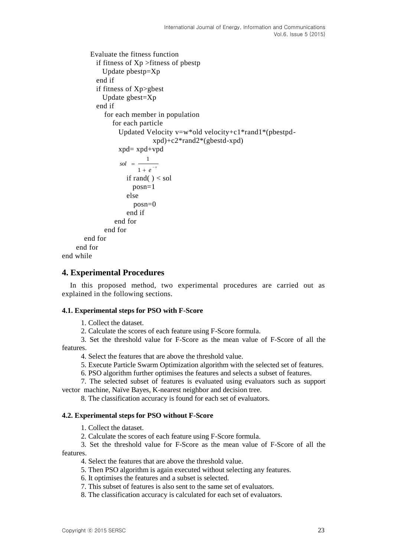```
 Evaluate the fitness function
            if fitness of Xp >fitness of pbestp
               Update pbestp=Xp 
             end if 
             if fitness of Xp>gbest
               Update gbest=Xp 
             end if 
                for each member in population
                  for each particle 
                     Updated Velocity v=w*old velocity+c1*rand1*(pbestpd-
                                 xpd)+c2*rand2*(gbestd-xpd) 
                     xpd= xpd+vpd 
                               v
e
                    sol = \frac{1}{1+e^{-t}}=1
                              1
                      if rand(\alpha) < sol
                          posn=1
                        else
                          posn=0 
                        end if
                   end for 
                end for
        end for
      end for
end while
```
# **4. Experimental Procedures**

In this proposed method, two experimental procedures are carried out as explained in the following sections.

# **4.1. Experimental steps for PSO with F-Score**

1. Collect the dataset.

2. Calculate the scores of each feature using F-Score formula.

 3. Set the threshold value for F-Score as the mean value of F-Score of all the features.

4. Select the features that are above the threshold value.

5. Execute Particle Swarm Optimization algorithm with the selected set of features.

6. PSO algorithm further optimises the features and selects a subset of features.

 7. The selected subset of features is evaluated using evaluators such as support vector machine, Naïve Bayes, K-nearest neighbor and decision tree.

8. The classification accuracy is found for each set of evaluators.

#### **4.2. Experimental steps for PSO without F-Score**

1. Collect the dataset.

2. Calculate the scores of each feature using F-Score formula.

 3. Set the threshold value for F-Score as the mean value of F-Score of all the features.

4. Select the features that are above the threshold value.

5. Then PSO algorithm is again executed without selecting any features.

6. It optimises the features and a subset is selected.

7. This subset of features is also sent to the same set of evaluators.

8. The classification accuracy is calculated for each set of evaluators.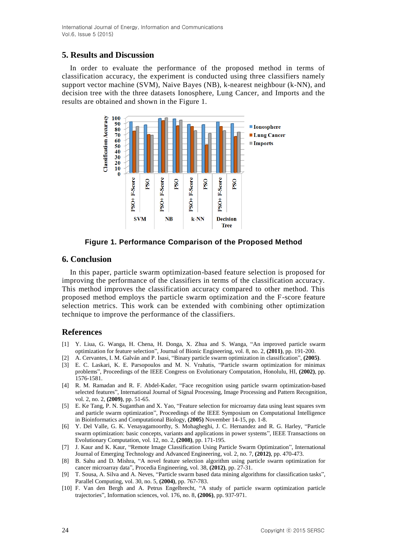International Journal of Energy, Information and Communications Vol.6, Issue 5 (2015)

# **5. Results and Discussion**

In order to evaluate the performance of the proposed method in terms of classification accuracy, the experiment is conducted using three classifiers namely support vector machine (SVM), Naive Bayes (NB), k-nearest neighbour (k-NN), and decision tree with the three datasets Ionosphere, Lung Cancer, and Imports and the results are obtained and shown in the Figure 1.



**Figure 1. Performance Comparison of the Proposed Method**

# **6. Conclusion**

In this paper, particle swarm optimization-based feature selection is proposed for improving the performance of the classifiers in terms of the classification accuracy. This method improves the classification accuracy compared to other method. This proposed method employs the particle swarm optimization and the F-score feature selection metrics. This work can be extended with combining other optimization technique to improve the performance of the classifiers.

# **References**

- [1] Y. Liua, G. Wanga, H. Chena, H. Donga, X. Zhua and S. Wanga, "An improved particle swarm optimization for feature selection", Journal of Bionic Engineering, vol. 8, no. 2, **(2011)**, pp. 191-200.
- [2] A. Cervantes, I. M. Galván and P. Isasi, "Binary particle swarm optimization in classification", **(2005)**.
- [3] E. C. Laskari, K. E. Parsopoulos and M. N. Vrahatis, "Particle swarm optimization for minimax problems", Proceedings of the IEEE Congress on Evolutionary Computation, Honolulu, HI, **(2002)**, pp. 1576-1581.
- [4] R. M. Ramadan and R. F. Abdel-Kader, "Face recognition using particle swarm optimization-based selected features", International Journal of Signal Processing, Image Processing and Pattern Recognition, vol. 2, no. 2, **(2009)**, pp. 51-65.
- [5] E. Ke Tang, P. N. Suganthan and X. Yao, "Feature selection for microarray data using least squares svm and particle swarm optimization", Proceedings of the IEEE Symposium on Computational Intelligence in Bioinformatics and Computational Biology, **(2005)** November 14-15, pp. 1-8.
- [6] Y. Del Valle, G. K. Venayagamoorthy, S. Mohagheghi, J. C. Hernandez and R. G. Harley, "Particle swarm optimization: basic concepts, variants and applications in power systems", IEEE Transactions on Evolutionary Computation, vol. 12, no. 2, **(2008)**, pp. 171-195.
- [7] J. Kaur and K. Kaur, "Remote Image Classification Using Particle Swarm Optimization", International Journal of Emerging Technology and Advanced Engineering, vol. 2, no. 7, **(2012)**, pp. 470-473.
- [8] B. Sahu and D. Mishra, "A novel feature selection algorithm using particle swarm optimization for cancer microarray data", Procedia Engineering, vol. 38, **(2012)**, pp. 27-31.
- [9] T. Sousa, A. Silva and A. Neves, "Particle swarm based data mining algorithms for classification tasks", Parallel Computing, vol. 30, no. 5, **(2004)**, pp. 767-783.
- [10] F. Van den Bergh and A. Petrus Engelbrecht, "A study of particle swarm optimization particle trajectories", Information sciences, vol. 176, no. 8, **(2006)**, pp. 937-971.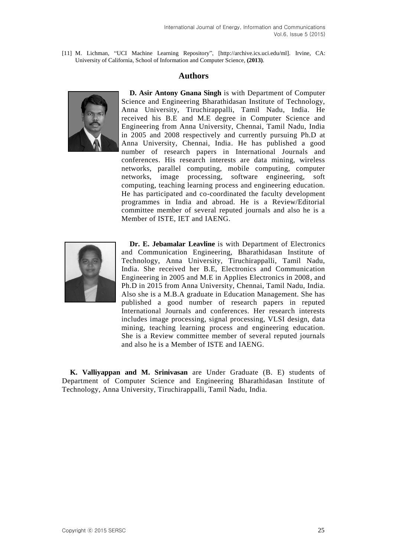[11] M. Lichman, "UCI Machine Learning Repository", [http://archive.ics.uci.edu/ml]. Irvine, CA: University of California, School of Information and Computer Science, **(2013)**.

# **Authors**



**D. Asir Antony Gnana Singh** is with Department of Computer Science and Engineering Bharathidasan Institute of Technology, Anna University, Tiruchirappalli, Tamil Nadu, India. He received his B.E and M.E degree in Computer Science and Engineering from Anna University, Chennai, Tamil Nadu, India in 2005 and 2008 respectively and currently pursuing Ph.D at Anna University, Chennai, India. He has published a good number of research papers in International Journals and conferences. His research interests are data mining, wireless networks, parallel computing, mobile computing, computer networks, image processing, software engineering, soft computing, teaching learning process and engineering education. He has participated and co-coordinated the faculty development programmes in India and abroad. He is a Review/Editorial committee member of several reputed journals and also he is a Member of ISTE, IET and IAENG.



**Dr. E. Jebamalar Leavline** is with Department of Electronics and Communication Engineering, Bharathidasan Institute of Technology, Anna University, Tiruchirappalli, Tamil Nadu, India. She received her B.E, Electronics and Communication Engineering in 2005 and M.E in Applies Electronics in 2008, and Ph.D in 2015 from Anna University, Chennai, Tamil Nadu, India. Also she is a M.B.A graduate in Education Management. She has published a good number of research papers in reputed International Journals and conferences. Her research interests includes image processing, signal processing, VLSI design, data mining, teaching learning process and engineering education. She is a Review committee member of several reputed journals and also he is a Member of ISTE and IAENG.

**K. Valliyappan and M. Srinivasan** are Under Graduate (B. E) students of Department of Computer Science and Engineering Bharathidasan Institute of Technology, Anna University, Tiruchirappalli, Tamil Nadu, India.